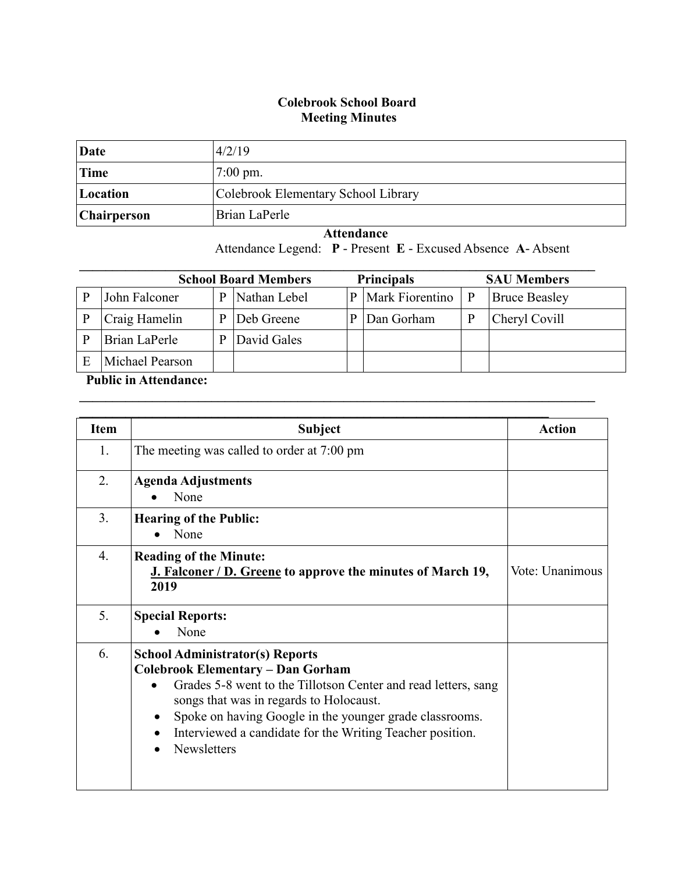## **Colebrook School Board Meeting Minutes**

| Date        | 4/2/19                              |
|-------------|-------------------------------------|
| Time        | $7:00 \text{ pm}$ .                 |
| Location    | Colebrook Elementary School Library |
| Chairperson | Brian LaPerle                       |

 **Attendance** Attendance Legend: **P** - Present **E** - Excused Absence **A**- Absent

| <b>Principals</b><br><b>School Board Members</b><br><b>SAU Members</b> |   |              |              |                 |   |                      |
|------------------------------------------------------------------------|---|--------------|--------------|-----------------|---|----------------------|
| John Falconer                                                          | D | Nathan Lebel | $\mathbf{p}$ | Mark Fiorentino | P | <b>Bruce Beasley</b> |
| Craig Hamelin                                                          |   | Deb Greene   |              | Dan Gorham      |   | Cheryl Covill        |
| Brian LaPerle                                                          |   | David Gales  |              |                 |   |                      |
| Michael Pearson                                                        |   |              |              |                 |   |                      |

 $\mathcal{L}_\mathcal{L} = \{ \mathcal{L}_\mathcal{L} = \{ \mathcal{L}_\mathcal{L} = \{ \mathcal{L}_\mathcal{L} = \{ \mathcal{L}_\mathcal{L} = \{ \mathcal{L}_\mathcal{L} = \{ \mathcal{L}_\mathcal{L} = \{ \mathcal{L}_\mathcal{L} = \{ \mathcal{L}_\mathcal{L} = \{ \mathcal{L}_\mathcal{L} = \{ \mathcal{L}_\mathcal{L} = \{ \mathcal{L}_\mathcal{L} = \{ \mathcal{L}_\mathcal{L} = \{ \mathcal{L}_\mathcal{L} = \{ \mathcal{L}_\mathcal{$ 

## **Public in Attendance:**

| <b>Item</b>    | <b>Subject</b>                                                                                                                                                                                                                                                                                                                                      | <b>Action</b>   |
|----------------|-----------------------------------------------------------------------------------------------------------------------------------------------------------------------------------------------------------------------------------------------------------------------------------------------------------------------------------------------------|-----------------|
| 1.             | The meeting was called to order at 7:00 pm                                                                                                                                                                                                                                                                                                          |                 |
| 2.             | <b>Agenda Adjustments</b><br>None                                                                                                                                                                                                                                                                                                                   |                 |
| 3 <sub>1</sub> | <b>Hearing of the Public:</b><br>None                                                                                                                                                                                                                                                                                                               |                 |
| $4_{\cdot}$    | <b>Reading of the Minute:</b><br>J. Falconer / D. Greene to approve the minutes of March 19,<br>2019                                                                                                                                                                                                                                                | Vote: Unanimous |
| 5.             | <b>Special Reports:</b><br>None                                                                                                                                                                                                                                                                                                                     |                 |
| 6.             | <b>School Administrator(s) Reports</b><br><b>Colebrook Elementary - Dan Gorham</b><br>Grades 5-8 went to the Tillotson Center and read letters, sang<br>songs that was in regards to Holocaust.<br>Spoke on having Google in the younger grade classrooms.<br>$\bullet$<br>Interviewed a candidate for the Writing Teacher position.<br>Newsletters |                 |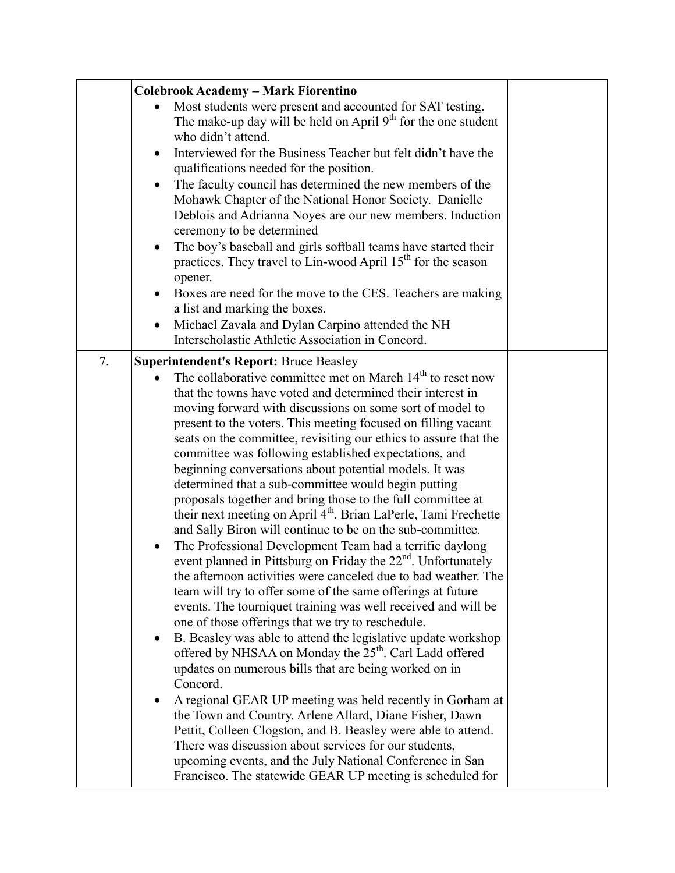|    | <b>Colebrook Academy - Mark Fiorentino</b>                                                                                                                                                                                                                                                                                                                                                                                                                                                                                                                                                                                                                                                                                                                                                                                                                                                                                                                                                                                                                                                                                                                                                                                                                                                                                                                                                                                                                                                                                                                                                                                                                                                                                                                                          |  |
|----|-------------------------------------------------------------------------------------------------------------------------------------------------------------------------------------------------------------------------------------------------------------------------------------------------------------------------------------------------------------------------------------------------------------------------------------------------------------------------------------------------------------------------------------------------------------------------------------------------------------------------------------------------------------------------------------------------------------------------------------------------------------------------------------------------------------------------------------------------------------------------------------------------------------------------------------------------------------------------------------------------------------------------------------------------------------------------------------------------------------------------------------------------------------------------------------------------------------------------------------------------------------------------------------------------------------------------------------------------------------------------------------------------------------------------------------------------------------------------------------------------------------------------------------------------------------------------------------------------------------------------------------------------------------------------------------------------------------------------------------------------------------------------------------|--|
|    | Most students were present and accounted for SAT testing.<br>The make-up day will be held on April $9th$ for the one student<br>who didn't attend.<br>Interviewed for the Business Teacher but felt didn't have the<br>qualifications needed for the position.<br>The faculty council has determined the new members of the<br>Mohawk Chapter of the National Honor Society. Danielle<br>Deblois and Adrianna Noyes are our new members. Induction<br>ceremony to be determined<br>The boy's baseball and girls softball teams have started their<br>$\bullet$<br>practices. They travel to Lin-wood April 15 <sup>th</sup> for the season<br>opener.<br>Boxes are need for the move to the CES. Teachers are making<br>a list and marking the boxes.<br>Michael Zavala and Dylan Carpino attended the NH                                                                                                                                                                                                                                                                                                                                                                                                                                                                                                                                                                                                                                                                                                                                                                                                                                                                                                                                                                           |  |
|    | Interscholastic Athletic Association in Concord.                                                                                                                                                                                                                                                                                                                                                                                                                                                                                                                                                                                                                                                                                                                                                                                                                                                                                                                                                                                                                                                                                                                                                                                                                                                                                                                                                                                                                                                                                                                                                                                                                                                                                                                                    |  |
| 7. | <b>Superintendent's Report: Bruce Beasley</b><br>The collaborative committee met on March $14th$ to reset now<br>that the towns have voted and determined their interest in<br>moving forward with discussions on some sort of model to<br>present to the voters. This meeting focused on filling vacant<br>seats on the committee, revisiting our ethics to assure that the<br>committee was following established expectations, and<br>beginning conversations about potential models. It was<br>determined that a sub-committee would begin putting<br>proposals together and bring those to the full committee at<br>their next meeting on April 4 <sup>th</sup> . Brian LaPerle, Tami Frechette<br>and Sally Biron will continue to be on the sub-committee.<br>The Professional Development Team had a terrific daylong<br>$\bullet$<br>event planned in Pittsburg on Friday the 22 <sup>nd</sup> . Unfortunately<br>the afternoon activities were canceled due to bad weather. The<br>team will try to offer some of the same offerings at future<br>events. The tourniquet training was well received and will be<br>one of those offerings that we try to reschedule.<br>B. Beasley was able to attend the legislative update workshop<br>$\bullet$<br>offered by NHSAA on Monday the 25 <sup>th</sup> . Carl Ladd offered<br>updates on numerous bills that are being worked on in<br>Concord.<br>A regional GEAR UP meeting was held recently in Gorham at<br>the Town and Country. Arlene Allard, Diane Fisher, Dawn<br>Pettit, Colleen Clogston, and B. Beasley were able to attend.<br>There was discussion about services for our students,<br>upcoming events, and the July National Conference in San<br>Francisco. The statewide GEAR UP meeting is scheduled for |  |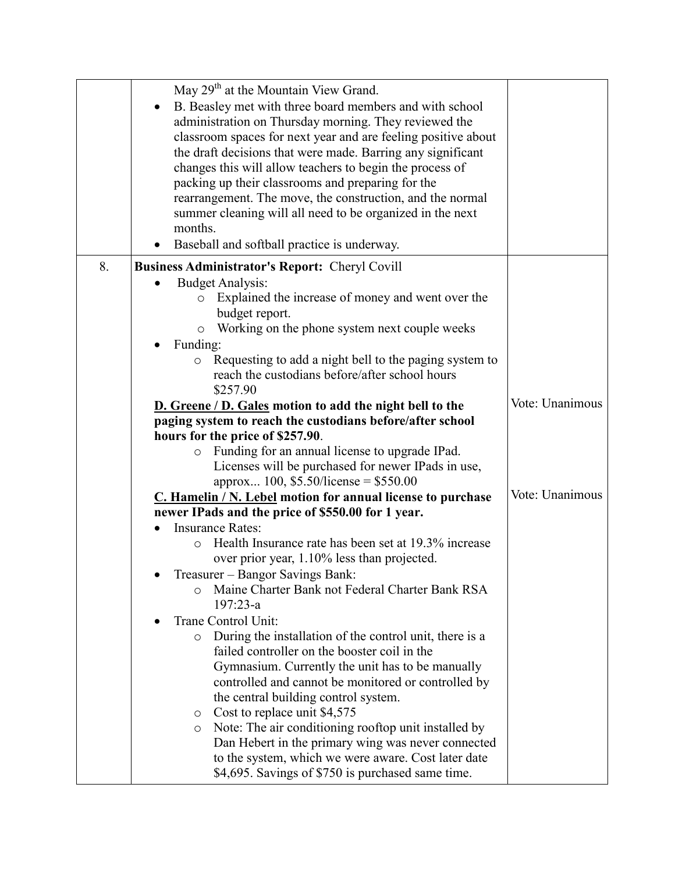|    | May 29 <sup>th</sup> at the Mountain View Grand.                   |                 |
|----|--------------------------------------------------------------------|-----------------|
|    |                                                                    |                 |
|    | B. Beasley met with three board members and with school            |                 |
|    | administration on Thursday morning. They reviewed the              |                 |
|    | classroom spaces for next year and are feeling positive about      |                 |
|    | the draft decisions that were made. Barring any significant        |                 |
|    | changes this will allow teachers to begin the process of           |                 |
|    | packing up their classrooms and preparing for the                  |                 |
|    | rearrangement. The move, the construction, and the normal          |                 |
|    | summer cleaning will all need to be organized in the next          |                 |
|    | months.                                                            |                 |
|    | Baseball and softball practice is underway.                        |                 |
| 8. |                                                                    |                 |
|    | <b>Business Administrator's Report: Cheryl Covill</b>              |                 |
|    | <b>Budget Analysis:</b>                                            |                 |
|    | Explained the increase of money and went over the<br>$\circ$       |                 |
|    | budget report.                                                     |                 |
|    | Working on the phone system next couple weeks<br>$\circ$           |                 |
|    | Funding:                                                           |                 |
|    | Requesting to add a night bell to the paging system to             |                 |
|    | reach the custodians before/after school hours                     |                 |
|    | \$257.90                                                           |                 |
|    | D. Greene / D. Gales motion to add the night bell to the           | Vote: Unanimous |
|    | paging system to reach the custodians before/after school          |                 |
|    | hours for the price of \$257.90.                                   |                 |
|    | Funding for an annual license to upgrade IPad.<br>$\circ$          |                 |
|    | Licenses will be purchased for newer IPads in use,                 |                 |
|    | approx 100, \$5.50/license = \$550.00                              |                 |
|    | C. Hamelin / N. Lebel motion for annual license to purchase        | Vote: Unanimous |
|    | newer IPads and the price of \$550.00 for 1 year.                  |                 |
|    | <b>Insurance Rates:</b>                                            |                 |
|    | Health Insurance rate has been set at 19.3% increase<br>$\circ$    |                 |
|    | over prior year, 1.10% less than projected.                        |                 |
|    | Treasurer - Bangor Savings Bank:                                   |                 |
|    | Maine Charter Bank not Federal Charter Bank RSA<br>$\circ$         |                 |
|    | $197:23-a$                                                         |                 |
|    | Trane Control Unit:                                                |                 |
|    | During the installation of the control unit, there is a<br>$\circ$ |                 |
|    | failed controller on the booster coil in the                       |                 |
|    | Gymnasium. Currently the unit has to be manually                   |                 |
|    | controlled and cannot be monitored or controlled by                |                 |
|    | the central building control system.                               |                 |
|    | Cost to replace unit \$4,575<br>O                                  |                 |
|    | Note: The air conditioning rooftop unit installed by<br>$\circ$    |                 |
|    | Dan Hebert in the primary wing was never connected                 |                 |
|    | to the system, which we were aware. Cost later date                |                 |
|    | \$4,695. Savings of \$750 is purchased same time.                  |                 |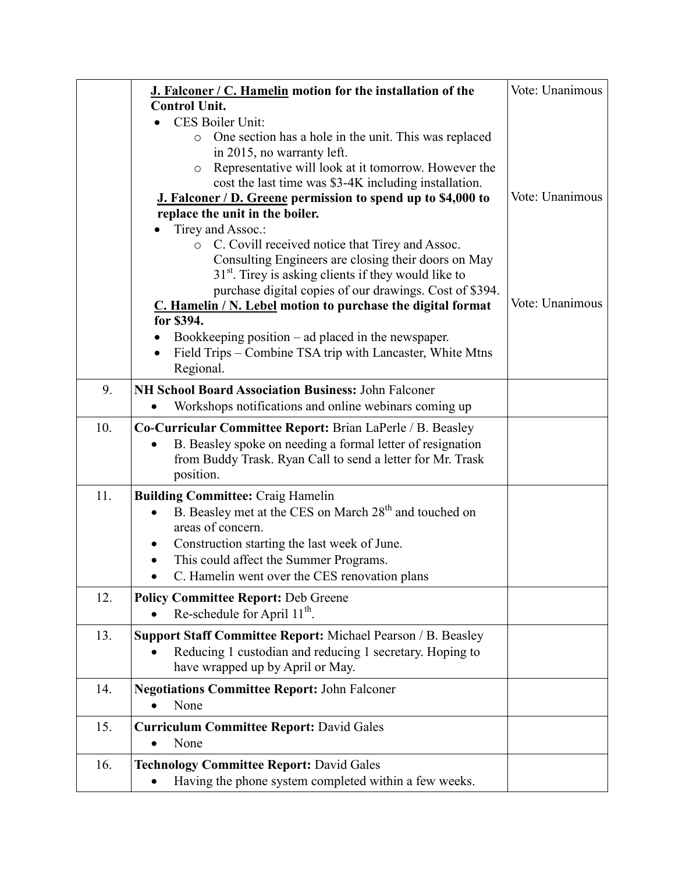|     | J. Falconer / C. Hamelin motion for the installation of the<br><b>Control Unit.</b>                                                                                                                                                                                                                                        | Vote: Unanimous |
|-----|----------------------------------------------------------------------------------------------------------------------------------------------------------------------------------------------------------------------------------------------------------------------------------------------------------------------------|-----------------|
|     | CES Boiler Unit:                                                                                                                                                                                                                                                                                                           |                 |
|     | One section has a hole in the unit. This was replaced<br>$\circ$<br>in 2015, no warranty left.<br>Representative will look at it tomorrow. However the<br>$\circ$<br>cost the last time was \$3-4K including installation.<br><b>J. Falconer / D. Greene permission to spend up to \$4,000 to</b>                          | Vote: Unanimous |
|     | replace the unit in the boiler.                                                                                                                                                                                                                                                                                            |                 |
|     | Tirey and Assoc.:<br>C. Covill received notice that Tirey and Assoc.<br>$\circ$<br>Consulting Engineers are closing their doors on May<br>$31st$ . Tirey is asking clients if they would like to<br>purchase digital copies of our drawings. Cost of \$394.<br>C. Hamelin / N. Lebel motion to purchase the digital format | Vote: Unanimous |
|     | for \$394.                                                                                                                                                                                                                                                                                                                 |                 |
|     | Bookkeeping position $-$ ad placed in the newspaper.<br>Field Trips – Combine TSA trip with Lancaster, White Mtns<br>Regional.                                                                                                                                                                                             |                 |
| 9.  | NH School Board Association Business: John Falconer                                                                                                                                                                                                                                                                        |                 |
|     | Workshops notifications and online webinars coming up                                                                                                                                                                                                                                                                      |                 |
| 10. | <b>Co-Curricular Committee Report: Brian LaPerle / B. Beasley</b>                                                                                                                                                                                                                                                          |                 |
|     | B. Beasley spoke on needing a formal letter of resignation<br>from Buddy Trask. Ryan Call to send a letter for Mr. Trask<br>position.                                                                                                                                                                                      |                 |
| 11. | <b>Building Committee: Craig Hamelin</b><br>B. Beasley met at the CES on March 28 <sup>th</sup> and touched on<br>٠<br>areas of concern.<br>Construction starting the last week of June.<br>This could affect the Summer Programs.<br>C. Hamelin went over the CES renovation plans                                        |                 |
| 12. | <b>Policy Committee Report: Deb Greene</b><br>Re-schedule for April $11^{th}$ .                                                                                                                                                                                                                                            |                 |
| 13. | <b>Support Staff Committee Report:</b> Michael Pearson / B. Beasley<br>Reducing 1 custodian and reducing 1 secretary. Hoping to<br>have wrapped up by April or May.                                                                                                                                                        |                 |
| 14. | <b>Negotiations Committee Report: John Falconer</b><br>None                                                                                                                                                                                                                                                                |                 |
| 15. | <b>Curriculum Committee Report: David Gales</b><br>None<br>٠                                                                                                                                                                                                                                                               |                 |
| 16. | <b>Technology Committee Report: David Gales</b><br>Having the phone system completed within a few weeks.                                                                                                                                                                                                                   |                 |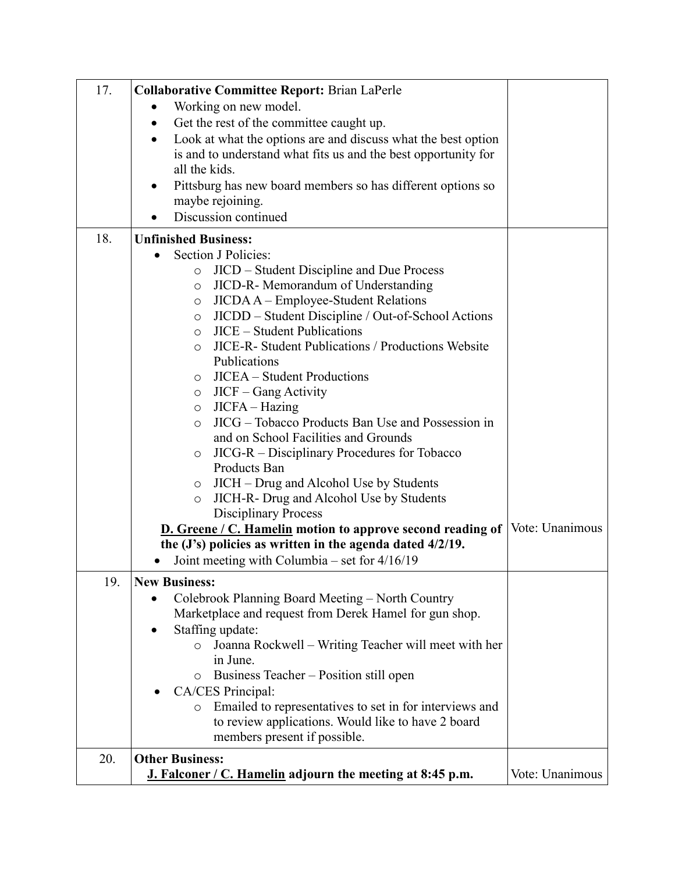| 17. | <b>Collaborative Committee Report: Brian LaPerle</b>                       |                 |
|-----|----------------------------------------------------------------------------|-----------------|
|     | Working on new model.<br>٠                                                 |                 |
|     | Get the rest of the committee caught up.<br>$\bullet$                      |                 |
|     | Look at what the options are and discuss what the best option<br>$\bullet$ |                 |
|     | is and to understand what fits us and the best opportunity for             |                 |
|     | all the kids.                                                              |                 |
|     | Pittsburg has new board members so has different options so<br>٠           |                 |
|     | maybe rejoining.                                                           |                 |
|     | Discussion continued                                                       |                 |
| 18. | <b>Unfinished Business:</b>                                                |                 |
|     | Section J Policies:<br>$\bullet$                                           |                 |
|     | JICD – Student Discipline and Due Process<br>$\circ$                       |                 |
|     | JICD-R- Memorandum of Understanding<br>O                                   |                 |
|     | JICDA A - Employee-Student Relations<br>$\circ$                            |                 |
|     | JICDD – Student Discipline / Out-of-School Actions<br>$\circ$              |                 |
|     | JICE – Student Publications<br>$\circ$                                     |                 |
|     | JICE-R- Student Publications / Productions Website<br>O                    |                 |
|     | Publications                                                               |                 |
|     | <b>JICEA</b> – Student Productions<br>$\circ$                              |                 |
|     | JICF – Gang Activity<br>$\circ$                                            |                 |
|     | JICFA – Hazing<br>$\circ$                                                  |                 |
|     | JICG – Tobacco Products Ban Use and Possession in<br>$\circ$               |                 |
|     | and on School Facilities and Grounds                                       |                 |
|     | JICG-R – Disciplinary Procedures for Tobacco<br>$\circ$                    |                 |
|     | Products Ban                                                               |                 |
|     | JICH – Drug and Alcohol Use by Students<br>$\circ$                         |                 |
|     | JICH-R- Drug and Alcohol Use by Students<br>$\circ$                        |                 |
|     | <b>Disciplinary Process</b>                                                |                 |
|     | D. Greene / C. Hamelin motion to approve second reading of                 | Vote: Unanimous |
|     | the (J's) policies as written in the agenda dated 4/2/19.                  |                 |
|     | Joint meeting with Columbia – set for 4/16/19                              |                 |
| 19. | <b>New Business:</b>                                                       |                 |
|     | Colebrook Planning Board Meeting – North Country                           |                 |
|     | Marketplace and request from Derek Hamel for gun shop.                     |                 |
|     | Staffing update:                                                           |                 |
|     | Joanna Rockwell – Writing Teacher will meet with her<br>$\circ$            |                 |
|     | in June.                                                                   |                 |
|     | Business Teacher – Position still open<br>$\circ$                          |                 |
|     | CA/CES Principal:                                                          |                 |
|     | Emailed to representatives to set in for interviews and<br>$\circ$         |                 |
|     | to review applications. Would like to have 2 board                         |                 |
|     | members present if possible.                                               |                 |
| 20. | <b>Other Business:</b>                                                     |                 |
|     | J. Falconer / C. Hamelin adjourn the meeting at 8:45 p.m.                  | Vote: Unanimous |